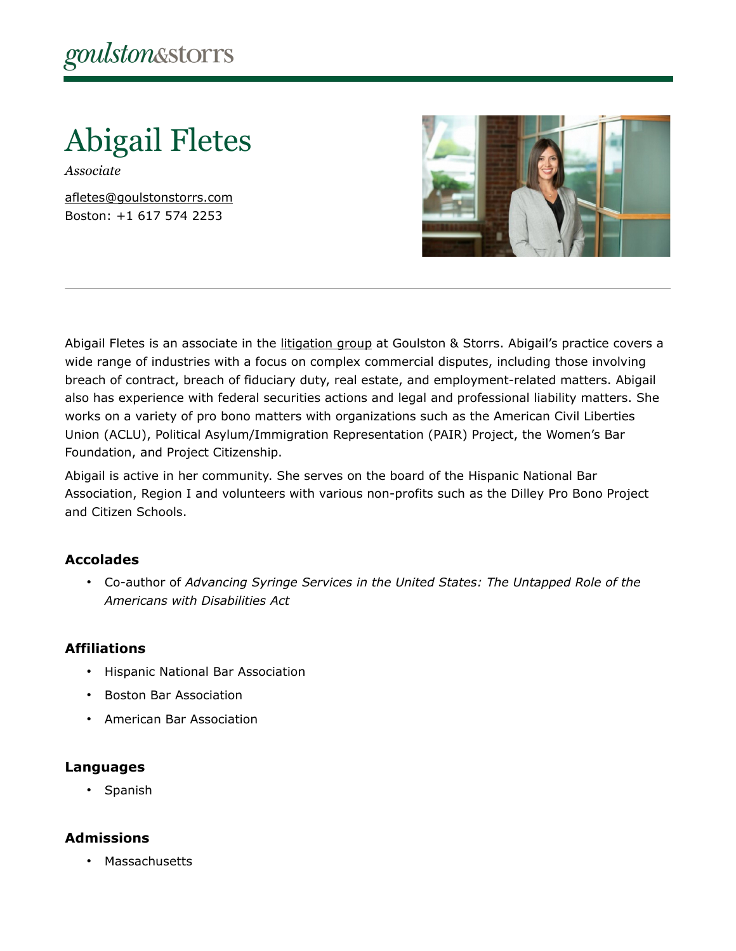Abigail Fletes

*Associate*

[afletes@goulstonstorrs.com](mailto:afletes@goulstonstorrs.com) Boston: +1 617 574 2253



Abigail Fletes is an associate in the [litigation group](https://www.goulstonstorrs.com/litigation/) at Goulston & Storrs. Abigail's practice covers a wide range of industries with a focus on complex commercial disputes, including those involving breach of contract, breach of fiduciary duty, real estate, and employment-related matters. Abigail also has experience with federal securities actions and legal and professional liability matters. She works on a variety of pro bono matters with organizations such as the American Civil Liberties Union (ACLU), Political Asylum/Immigration Representation (PAIR) Project, the Women's Bar Foundation, and Project Citizenship.

Abigail is active in her community. She serves on the board of the Hispanic National Bar Association, Region I and volunteers with various non-profits such as the Dilley Pro Bono Project and Citizen Schools.

### **Accolades**

• Co-author of *Advancing Syringe Services in the United States: The Untapped Role of the Americans with Disabilities Act*

#### **Affiliations**

- Hispanic National Bar Association
- Boston Bar Association
- American Bar Association

#### **Languages**

• Spanish

#### **Admissions**

• Massachusetts